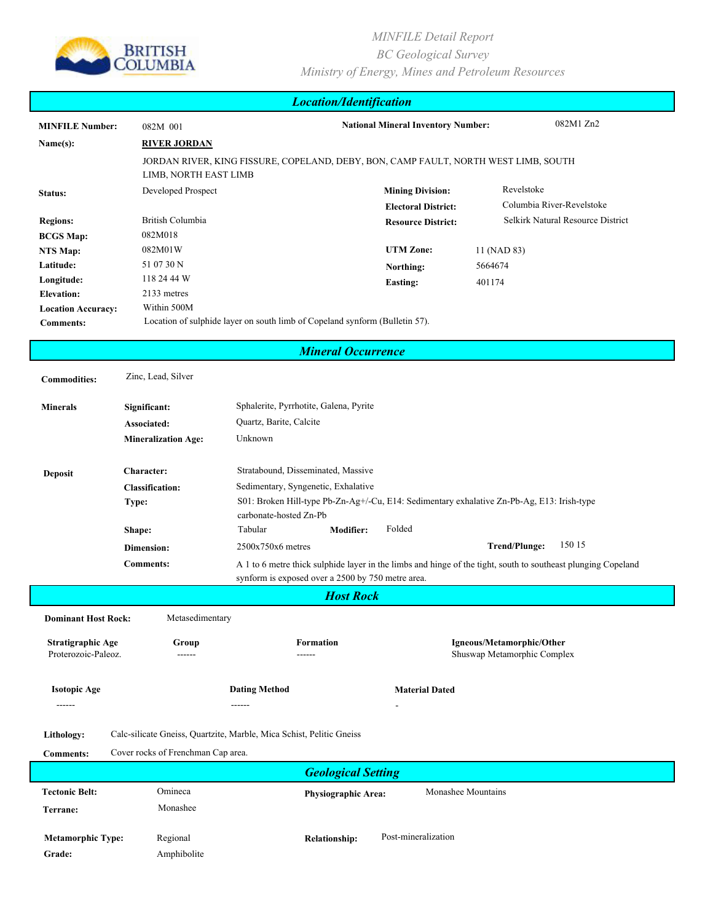

| <b>Location/Identification</b> |                                                                                                              |                                                                                                                      |                            |                                                                                                               |  |  |  |  |  |  |
|--------------------------------|--------------------------------------------------------------------------------------------------------------|----------------------------------------------------------------------------------------------------------------------|----------------------------|---------------------------------------------------------------------------------------------------------------|--|--|--|--|--|--|
| <b>MINFILE Number:</b>         | 082M 001                                                                                                     | 082M1 Zn2<br><b>National Mineral Inventory Number:</b>                                                               |                            |                                                                                                               |  |  |  |  |  |  |
| Name(s):                       | <b>RIVER JORDAN</b>                                                                                          |                                                                                                                      |                            |                                                                                                               |  |  |  |  |  |  |
|                                | JORDAN RIVER, KING FISSURE, COPELAND, DEBY, BON, CAMP FAULT, NORTH WEST LIMB, SOUTH<br>LIMB, NORTH EAST LIMB |                                                                                                                      |                            |                                                                                                               |  |  |  |  |  |  |
| Status:                        | Developed Prospect                                                                                           |                                                                                                                      | <b>Mining Division:</b>    | Revelstoke                                                                                                    |  |  |  |  |  |  |
|                                |                                                                                                              |                                                                                                                      | <b>Electoral District:</b> | Columbia River-Revelstoke                                                                                     |  |  |  |  |  |  |
| <b>Regions:</b>                | British Columbia                                                                                             |                                                                                                                      | <b>Resource District:</b>  | Selkirk Natural Resource District                                                                             |  |  |  |  |  |  |
| <b>BCGS Map:</b>               | 082M018                                                                                                      |                                                                                                                      |                            |                                                                                                               |  |  |  |  |  |  |
| NTS Map:                       | 082M01W                                                                                                      |                                                                                                                      | <b>UTM</b> Zone:           | 11 (NAD 83)                                                                                                   |  |  |  |  |  |  |
| Latitude:                      | 51 07 30 N                                                                                                   |                                                                                                                      | Northing:                  | 5664674                                                                                                       |  |  |  |  |  |  |
| Longitude:                     | 118 24 44 W                                                                                                  |                                                                                                                      | <b>Easting:</b>            | 401174                                                                                                        |  |  |  |  |  |  |
| <b>Elevation:</b>              | 2133 metres                                                                                                  |                                                                                                                      |                            |                                                                                                               |  |  |  |  |  |  |
| <b>Location Accuracy:</b>      | Within 500M                                                                                                  |                                                                                                                      |                            |                                                                                                               |  |  |  |  |  |  |
| <b>Comments:</b>               |                                                                                                              | Location of sulphide layer on south limb of Copeland synform (Bulletin 57).                                          |                            |                                                                                                               |  |  |  |  |  |  |
| <b>Mineral Occurrence</b>      |                                                                                                              |                                                                                                                      |                            |                                                                                                               |  |  |  |  |  |  |
|                                |                                                                                                              |                                                                                                                      |                            |                                                                                                               |  |  |  |  |  |  |
| <b>Commodities:</b>            | Zinc, Lead, Silver                                                                                           |                                                                                                                      |                            |                                                                                                               |  |  |  |  |  |  |
| <b>Minerals</b>                | Significant:                                                                                                 | Sphalerite, Pyrrhotite, Galena, Pyrite                                                                               |                            |                                                                                                               |  |  |  |  |  |  |
|                                | Associated:                                                                                                  | Quartz, Barite, Calcite                                                                                              |                            |                                                                                                               |  |  |  |  |  |  |
|                                | <b>Mineralization Age:</b>                                                                                   | Unknown                                                                                                              |                            |                                                                                                               |  |  |  |  |  |  |
|                                |                                                                                                              |                                                                                                                      |                            |                                                                                                               |  |  |  |  |  |  |
| <b>Deposit</b>                 | Character:                                                                                                   | Stratabound, Disseminated, Massive                                                                                   |                            |                                                                                                               |  |  |  |  |  |  |
|                                | <b>Classification:</b>                                                                                       | Sedimentary, Syngenetic, Exhalative                                                                                  |                            |                                                                                                               |  |  |  |  |  |  |
|                                | <b>Type:</b>                                                                                                 | S01: Broken Hill-type Pb-Zn-Ag+/-Cu, E14: Sedimentary exhalative Zn-Pb-Ag, E13: Irish-type<br>carbonate-hosted Zn-Pb |                            |                                                                                                               |  |  |  |  |  |  |
|                                | Shape:                                                                                                       | Tabular<br><b>Modifier:</b>                                                                                          | Folded                     |                                                                                                               |  |  |  |  |  |  |
|                                | Dimension:                                                                                                   | $2500x750x6$ metres                                                                                                  |                            | 150 15<br><b>Trend/Plunge:</b>                                                                                |  |  |  |  |  |  |
|                                | <b>Comments:</b>                                                                                             | synform is exposed over a 2500 by 750 metre area.                                                                    |                            | A 1 to 6 metre thick sulphide layer in the limbs and hinge of the tight, south to southeast plunging Copeland |  |  |  |  |  |  |
| <b>Host Rock</b>               |                                                                                                              |                                                                                                                      |                            |                                                                                                               |  |  |  |  |  |  |
| <b>Dominant Host Rock:</b>     | Metasedimentary                                                                                              |                                                                                                                      |                            |                                                                                                               |  |  |  |  |  |  |
| Stratigraphic Age              | Group                                                                                                        | <b>Formation</b>                                                                                                     |                            | Igneous/Metamorphic/Other                                                                                     |  |  |  |  |  |  |
| Proterozoic-Paleoz.            | ------                                                                                                       | ------                                                                                                               |                            | Shuswap Metamorphic Complex                                                                                   |  |  |  |  |  |  |
|                                |                                                                                                              |                                                                                                                      |                            |                                                                                                               |  |  |  |  |  |  |
| <b>Isotopic Age</b>            |                                                                                                              | <b>Dating Method</b>                                                                                                 | <b>Material Dated</b>      |                                                                                                               |  |  |  |  |  |  |
| ------                         |                                                                                                              | ------                                                                                                               |                            |                                                                                                               |  |  |  |  |  |  |
|                                |                                                                                                              |                                                                                                                      |                            |                                                                                                               |  |  |  |  |  |  |
| Lithology:                     |                                                                                                              | Calc-silicate Gneiss, Quartzite, Marble, Mica Schist, Pelitic Gneiss                                                 |                            |                                                                                                               |  |  |  |  |  |  |
| <b>Comments:</b>               | Cover rocks of Frenchman Cap area.                                                                           |                                                                                                                      |                            |                                                                                                               |  |  |  |  |  |  |
| <b>Geological Setting</b>      |                                                                                                              |                                                                                                                      |                            |                                                                                                               |  |  |  |  |  |  |
| <b>Tectonic Belt:</b>          | Omineca                                                                                                      | Physiographic Area:                                                                                                  | Monashee Mountains         |                                                                                                               |  |  |  |  |  |  |
| Terrane:                       | Monashee                                                                                                     |                                                                                                                      |                            |                                                                                                               |  |  |  |  |  |  |
|                                |                                                                                                              |                                                                                                                      |                            |                                                                                                               |  |  |  |  |  |  |
| <b>Metamorphic Type:</b>       | Regional                                                                                                     | <b>Relationship:</b>                                                                                                 | Post-mineralization        |                                                                                                               |  |  |  |  |  |  |
| Grade:                         | Amphibolite                                                                                                  |                                                                                                                      |                            |                                                                                                               |  |  |  |  |  |  |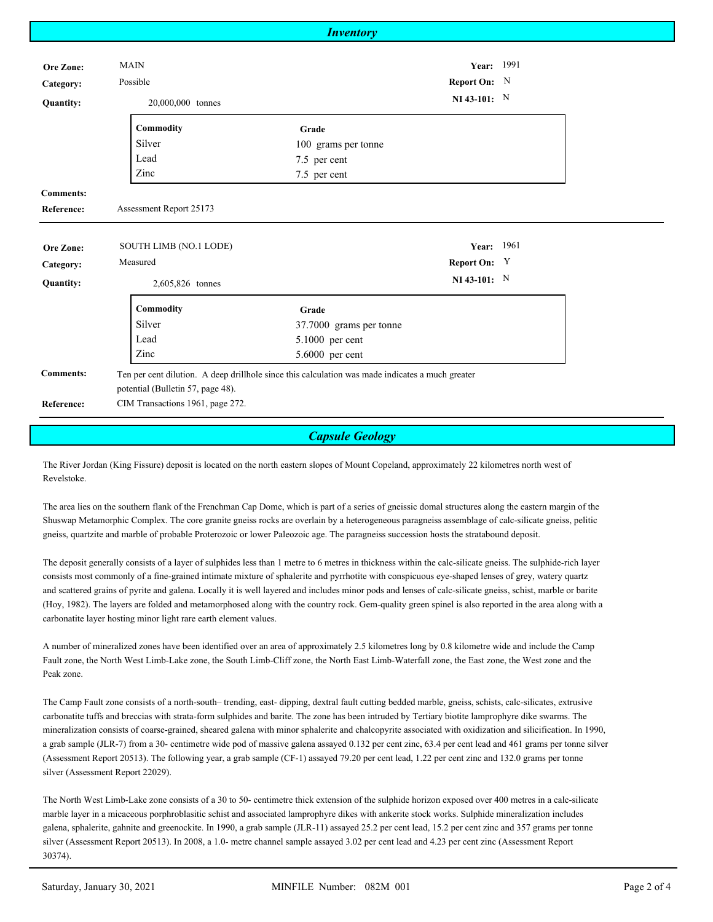|                   |                                                                                                  | <b>Inventory</b>        |                |  |  |  |
|-------------------|--------------------------------------------------------------------------------------------------|-------------------------|----------------|--|--|--|
|                   |                                                                                                  |                         |                |  |  |  |
| Ore Zone:         | <b>MAIN</b>                                                                                      |                         | Year: 1991     |  |  |  |
| Category:         | Possible                                                                                         |                         | Report On: N   |  |  |  |
| <b>Quantity:</b>  | 20,000,000 tonnes                                                                                |                         | NI 43-101: $N$ |  |  |  |
|                   | Commodity                                                                                        | Grade                   |                |  |  |  |
|                   | Silver                                                                                           | 100 grams per tonne     |                |  |  |  |
|                   | Lead                                                                                             | 7.5 per cent            |                |  |  |  |
|                   | Zinc                                                                                             | 7.5 per cent            |                |  |  |  |
| <b>Comments:</b>  |                                                                                                  |                         |                |  |  |  |
| <b>Reference:</b> | Assessment Report 25173                                                                          |                         |                |  |  |  |
|                   |                                                                                                  |                         |                |  |  |  |
| <b>Ore Zone:</b>  | SOUTH LIMB (NO.1 LODE)                                                                           |                         | Year: 1961     |  |  |  |
| Category:         | Measured                                                                                         |                         | Report On: Y   |  |  |  |
| <b>Quantity:</b>  | 2,605,826 tonnes                                                                                 |                         | NI 43-101: $N$ |  |  |  |
|                   | Commodity                                                                                        | Grade                   |                |  |  |  |
|                   | Silver                                                                                           | 37.7000 grams per tonne |                |  |  |  |
|                   | Lead                                                                                             | 5.1000 per cent         |                |  |  |  |
|                   | Zinc                                                                                             | 5.6000 per cent         |                |  |  |  |
| <b>Comments:</b>  | Ten per cent dilution. A deep drillhole since this calculation was made indicates a much greater |                         |                |  |  |  |
|                   | potential (Bulletin 57, page 48).                                                                |                         |                |  |  |  |
| <b>Reference:</b> | CIM Transactions 1961, page 272.                                                                 |                         |                |  |  |  |
|                   |                                                                                                  |                         |                |  |  |  |
|                   |                                                                                                  | <b>Capsule Geology</b>  |                |  |  |  |

The River Jordan (King Fissure) deposit is located on the north eastern slopes of Mount Copeland, approximately 22 kilometres north west of Revelstoke.

The area lies on the southern flank of the Frenchman Cap Dome, which is part of a series of gneissic domal structures along the eastern margin of the Shuswap Metamorphic Complex. The core granite gneiss rocks are overlain by a heterogeneous paragneiss assemblage of calc-silicate gneiss, pelitic gneiss, quartzite and marble of probable Proterozoic or lower Paleozoic age. The paragneiss succession hosts the stratabound deposit.

The deposit generally consists of a layer of sulphides less than 1 metre to 6 metres in thickness within the calc-silicate gneiss. The sulphide-rich layer consists most commonly of a fine-grained intimate mixture of sphalerite and pyrrhotite with conspicuous eye-shaped lenses of grey, watery quartz and scattered grains of pyrite and galena. Locally it is well layered and includes minor pods and lenses of calc-silicate gneiss, schist, marble or barite (Hoy, 1982). The layers are folded and metamorphosed along with the country rock. Gem-quality green spinel is also reported in the area along with a carbonatite layer hosting minor light rare earth element values.

A number of mineralized zones have been identified over an area of approximately 2.5 kilometres long by 0.8 kilometre wide and include the Camp Fault zone, the North West Limb-Lake zone, the South Limb-Cliff zone, the North East Limb-Waterfall zone, the East zone, the West zone and the Peak zone.

The Camp Fault zone consists of a north-south– trending, east- dipping, dextral fault cutting bedded marble, gneiss, schists, calc-silicates, extrusive carbonatite tuffs and breccias with strata-form sulphides and barite. The zone has been intruded by Tertiary biotite lamprophyre dike swarms. The mineralization consists of coarse-grained, sheared galena with minor sphalerite and chalcopyrite associated with oxidization and silicification. In 1990, a grab sample (JLR-7) from a 30- centimetre wide pod of massive galena assayed 0.132 per cent zinc, 63.4 per cent lead and 461 grams per tonne silver (Assessment Report 20513). The following year, a grab sample (CF-1) assayed 79.20 per cent lead, 1.22 per cent zinc and 132.0 grams per tonne silver (Assessment Report 22029).

The North West Limb-Lake zone consists of a 30 to 50- centimetre thick extension of the sulphide horizon exposed over 400 metres in a calc-silicate marble layer in a micaceous porphroblasitic schist and associated lamprophyre dikes with ankerite stock works. Sulphide mineralization includes galena, sphalerite, gahnite and greenockite. In 1990, a grab sample (JLR-11) assayed 25.2 per cent lead, 15.2 per cent zinc and 357 grams per tonne silver (Assessment Report 20513). In 2008, a 1.0- metre channel sample assayed 3.02 per cent lead and 4.23 per cent zinc (Assessment Report 30374).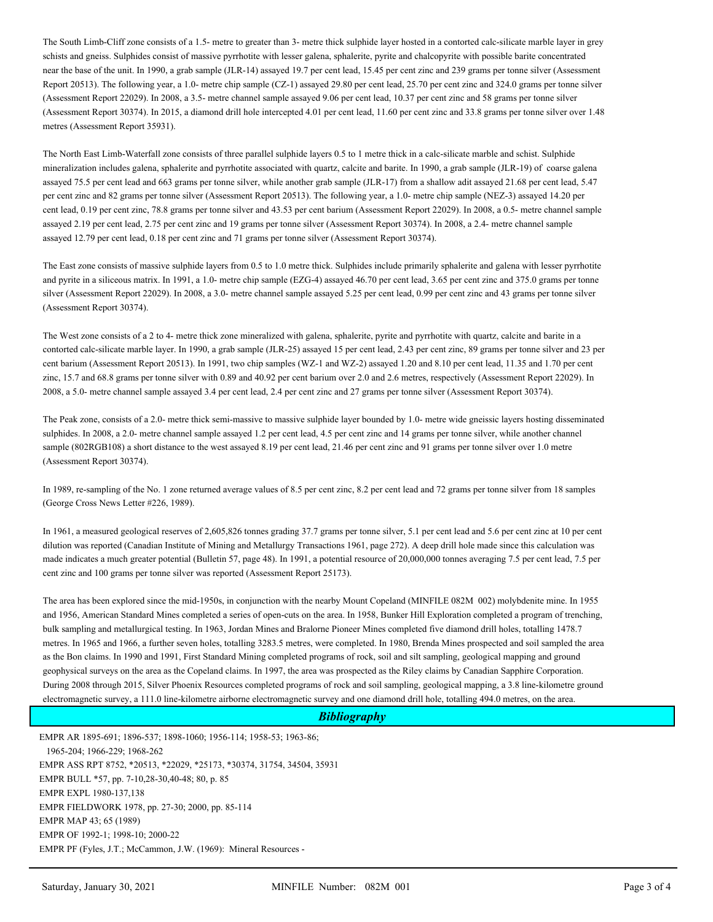The South Limb-Cliff zone consists of a 1.5- metre to greater than 3- metre thick sulphide layer hosted in a contorted calc-silicate marble layer in grey schists and gneiss. Sulphides consist of massive pyrrhotite with lesser galena, sphalerite, pyrite and chalcopyrite with possible barite concentrated near the base of the unit. In 1990, a grab sample (JLR-14) assayed 19.7 per cent lead, 15.45 per cent zinc and 239 grams per tonne silver (Assessment Report 20513). The following year, a 1.0- metre chip sample (CZ-1) assayed 29.80 per cent lead, 25.70 per cent zinc and 324.0 grams per tonne silver (Assessment Report 22029). In 2008, a 3.5- metre channel sample assayed 9.06 per cent lead, 10.37 per cent zinc and 58 grams per tonne silver (Assessment Report 30374). In 2015, a diamond drill hole intercepted 4.01 per cent lead, 11.60 per cent zinc and 33.8 grams per tonne silver over 1.48 metres (Assessment Report 35931).

The North East Limb-Waterfall zone consists of three parallel sulphide layers 0.5 to 1 metre thick in a calc-silicate marble and schist. Sulphide mineralization includes galena, sphalerite and pyrrhotite associated with quartz, calcite and barite. In 1990, a grab sample (JLR-19) of coarse galena assayed 75.5 per cent lead and 663 grams per tonne silver, while another grab sample (JLR-17) from a shallow adit assayed 21.68 per cent lead, 5.47 per cent zinc and 82 grams per tonne silver (Assessment Report 20513). The following year, a 1.0- metre chip sample (NEZ-3) assayed 14.20 per cent lead, 0.19 per cent zinc, 78.8 grams per tonne silver and 43.53 per cent barium (Assessment Report 22029). In 2008, a 0.5- metre channel sample assayed 2.19 per cent lead, 2.75 per cent zinc and 19 grams per tonne silver (Assessment Report 30374). In 2008, a 2.4- metre channel sample assayed 12.79 per cent lead, 0.18 per cent zinc and 71 grams per tonne silver (Assessment Report 30374).

The East zone consists of massive sulphide layers from 0.5 to 1.0 metre thick. Sulphides include primarily sphalerite and galena with lesser pyrrhotite and pyrite in a siliceous matrix. In 1991, a 1.0- metre chip sample (EZG-4) assayed 46.70 per cent lead, 3.65 per cent zinc and 375.0 grams per tonne silver (Assessment Report 22029). In 2008, a 3.0- metre channel sample assayed 5.25 per cent lead, 0.99 per cent zinc and 43 grams per tonne silver (Assessment Report 30374).

The West zone consists of a 2 to 4- metre thick zone mineralized with galena, sphalerite, pyrite and pyrrhotite with quartz, calcite and barite in a contorted calc-silicate marble layer. In 1990, a grab sample (JLR-25) assayed 15 per cent lead, 2.43 per cent zinc, 89 grams per tonne silver and 23 per cent barium (Assessment Report 20513). In 1991, two chip samples (WZ-1 and WZ-2) assayed 1.20 and 8.10 per cent lead, 11.35 and 1.70 per cent zinc, 15.7 and 68.8 grams per tonne silver with 0.89 and 40.92 per cent barium over 2.0 and 2.6 metres, respectively (Assessment Report 22029). In 2008, a 5.0- metre channel sample assayed 3.4 per cent lead, 2.4 per cent zinc and 27 grams per tonne silver (Assessment Report 30374).

The Peak zone, consists of a 2.0- metre thick semi-massive to massive sulphide layer bounded by 1.0- metre wide gneissic layers hosting disseminated sulphides. In 2008, a 2.0- metre channel sample assayed 1.2 per cent lead, 4.5 per cent zinc and 14 grams per tonne silver, while another channel sample (802RGB108) a short distance to the west assayed 8.19 per cent lead, 21.46 per cent zinc and 91 grams per tonne silver over 1.0 metre (Assessment Report 30374).

In 1989, re-sampling of the No. 1 zone returned average values of 8.5 per cent zinc, 8.2 per cent lead and 72 grams per tonne silver from 18 samples (George Cross News Letter #226, 1989).

In 1961, a measured geological reserves of 2,605,826 tonnes grading 37.7 grams per tonne silver, 5.1 per cent lead and 5.6 per cent zinc at 10 per cent dilution was reported (Canadian Institute of Mining and Metallurgy Transactions 1961, page 272). A deep drill hole made since this calculation was made indicates a much greater potential (Bulletin 57, page 48). In 1991, a potential resource of 20,000,000 tonnes averaging 7.5 per cent lead, 7.5 per cent zinc and 100 grams per tonne silver was reported (Assessment Report 25173).

The area has been explored since the mid-1950s, in conjunction with the nearby Mount Copeland (MINFILE 082M 002) molybdenite mine. In 1955 and 1956, American Standard Mines completed a series of open-cuts on the area. In 1958, Bunker Hill Exploration completed a program of trenching, bulk sampling and metallurgical testing. In 1963, Jordan Mines and Bralorne Pioneer Mines completed five diamond drill holes, totalling 1478.7 metres. In 1965 and 1966, a further seven holes, totalling 3283.5 metres, were completed. In 1980, Brenda Mines prospected and soil sampled the area as the Bon claims. In 1990 and 1991, First Standard Mining completed programs of rock, soil and silt sampling, geological mapping and ground geophysical surveys on the area as the Copeland claims. In 1997, the area was prospected as the Riley claims by Canadian Sapphire Corporation. During 2008 through 2015, Silver Phoenix Resources completed programs of rock and soil sampling, geological mapping, a 3.8 line-kilometre ground electromagnetic survey, a 111.0 line-kilometre airborne electromagnetic survey and one diamond drill hole, totalling 494.0 metres, on the area.

## *Bibliography*

EMPR AR 1895-691; 1896-537; 1898-1060; 1956-114; 1958-53; 1963-86; 1965-204; 1966-229; 1968-262 EMPR ASS RPT 8752, \*20513, \*22029, \*25173, \*30374, 31754, 34504, 35931 EMPR BULL \*57, pp. 7-10,28-30,40-48; 80, p. 85 EMPR EXPL 1980-137,138 EMPR FIELDWORK 1978, pp. 27-30; 2000, pp. 85-114 EMPR MAP 43; 65 (1989) EMPR OF 1992-1; 1998-10; 2000-22 EMPR PF (Fyles, J.T.; McCammon, J.W. (1969): Mineral Resources -